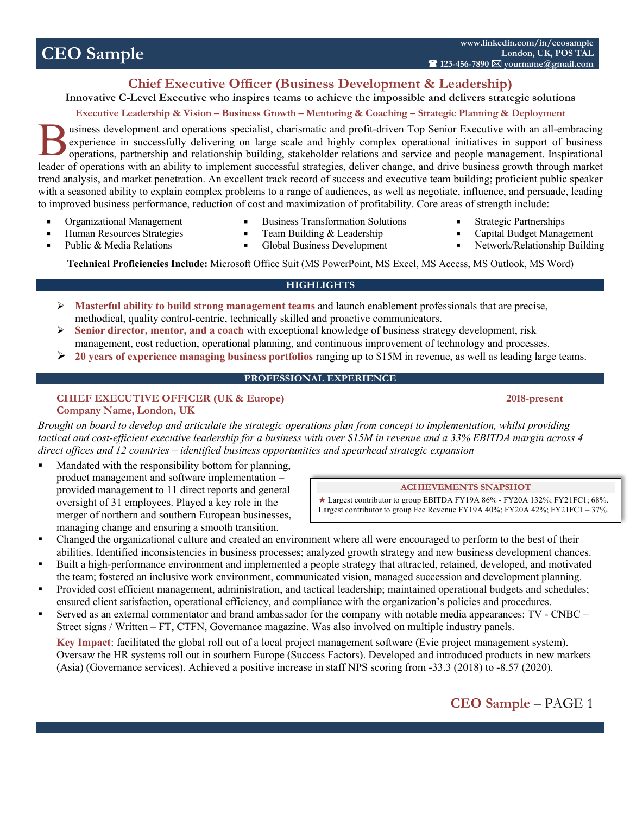# **CEO Sample**

## **Chief Executive Officer (Business Development & Leadership)**

**Innovative C-Level Executive who inspires teams to achieve the impossible and delivers strategic solutions**

## **Executive Leadership & Vision – Business Growth – Mentoring & Coaching – Strategic Planning & Deployment**

usiness development and operations specialist, charismatic and profit-driven Top Senior Executive with an all-embracing experience in successfully delivering on large scale and highly complex operational initiatives in support of business operations, partnership and relationship building, stakeholder relations and service and people management. Inspirational leader of operations with an ability to implement successful strategies, deliver change, and drive business growth through market trend analysis, and market penetration. An excellent track record of success and executive team building; proficient public speaker with a seasoned ability to explain complex problems to a range of audiences, as well as negotiate, influence, and persuade, leading to improved business performance, reduction of cost and maximization of profitability. Core areas of strength include: B

■ Organizational Management ■ Human Resources Strategies

■ Public & Media Relations

- Business Transformation Solutions Team Building & Leadership
- 

**ACHIEVEMENTS SNAPSHOT**  $\star$  Largest contributor to group EBITDA FY19A 86% - FY20A 132%; FY21FC1; 68%. Largest contributor to group Fee Revenue FY19A 40%; FY20A 42%; FY21FC1 – 37%.

- 
- Network/Relationship Building

■ Global Business Development **Technical Proficiencies Include:** Microsoft Office Suit (MS PowerPoint, MS Excel, MS Access, MS Outlook, MS Word)

#### **HIGHLIGHTS**

- Ø **Masterful ability to build strong management teams** and launch enablement professionals that are precise, methodical, quality control-centric, technically skilled and proactive communicators.
- Ø **Senior director, mentor, and a coach** with exceptional knowledge of business strategy development, risk management, cost reduction, operational planning, and continuous improvement of technology and processes.
- Ø **20 years of experience managing business portfolios** ranging up to \$15M in revenue, as well as leading large teams.

#### **PROFESSIONAL EXPERIENCE**

#### **CHIEF EXECUTIVE OFFICER (UK & Europe)** 2018-present **Company Name, London, UK**

*Brought on board to develop and articulate the strategic operations plan from concept to implementation, whilst providing tactical and cost-efficient executive leadership for a business with over \$15M in revenue and a 33% EBITDA margin across 4 direct offices and 12 countries – identified business opportunities and spearhead strategic expansion* 

- Mandated with the responsibility bottom for planning, product management and software implementation – provided management to 11 direct reports and general oversight of 31 employees. Played a key role in the merger of northern and southern European businesses, managing change and ensuring a smooth transition.
- § Changed the organizational culture and created an environment where all were encouraged to perform to the best of their abilities. Identified inconsistencies in business processes; analyzed growth strategy and new business development chances.
- Built a high-performance environment and implemented a people strategy that attracted, retained, developed, and motivated the team; fostered an inclusive work environment, communicated vision, managed succession and development planning.
- § Provided cost efficient management, administration, and tactical leadership; maintained operational budgets and schedules; ensured client satisfaction, operational efficiency, and compliance with the organization's policies and procedures.
- § Served as an external commentator and brand ambassador for the company with notable media appearances: TV CNBC Street signs / Written – FT, CTFN, Governance magazine. Was also involved on multiple industry panels.

**Key Impact**: facilitated the global roll out of a local project management software (Evie project management system). Oversaw the HR systems roll out in southern Europe (Success Factors). Developed and introduced products in new markets (Asia) (Governance services). Achieved a positive increase in staff NPS scoring from -33.3 (2018) to -8.57 (2020).

## ■ Strategic Partnerships

- Capital Budget Management
-